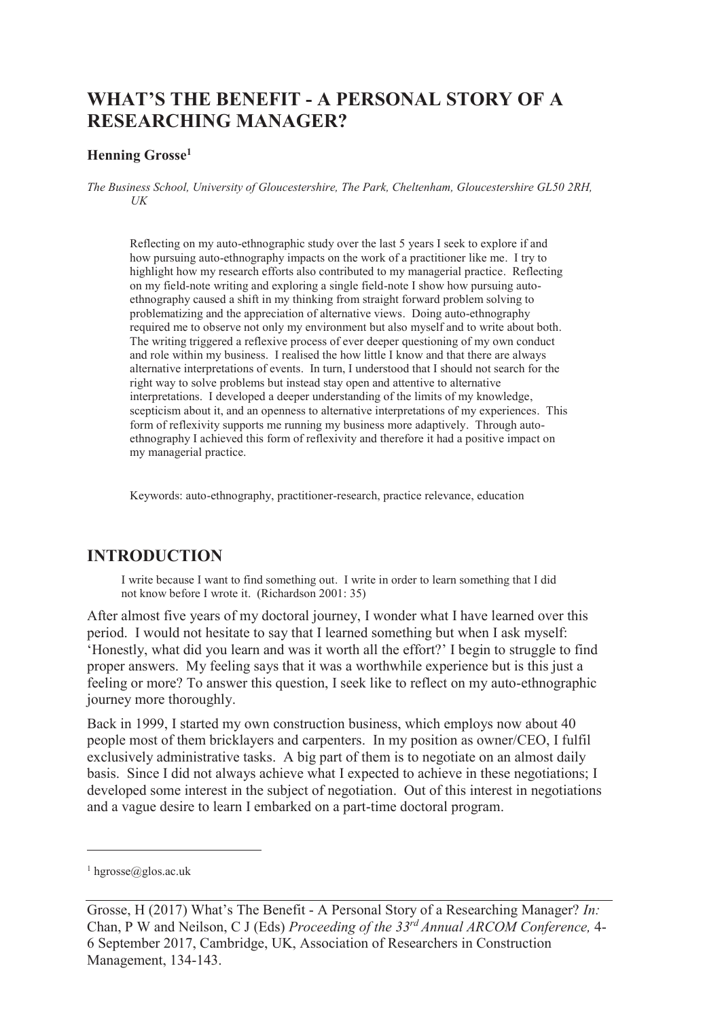# **WHAT'S THE BENEFIT - A PERSONAL STORY OF A RESEARCHING MANAGER?**

#### **Henning Grosse<sup>1</sup>**

*The Business School, University of Gloucestershire, The Park, Cheltenham, Gloucestershire GL50 2RH, UK* 

Reflecting on my auto-ethnographic study over the last 5 years I seek to explore if and how pursuing auto-ethnography impacts on the work of a practitioner like me. I try to highlight how my research efforts also contributed to my managerial practice. Reflecting on my field-note writing and exploring a single field-note I show how pursuing autoethnography caused a shift in my thinking from straight forward problem solving to problematizing and the appreciation of alternative views. Doing auto-ethnography required me to observe not only my environment but also myself and to write about both. The writing triggered a reflexive process of ever deeper questioning of my own conduct and role within my business. I realised the how little I know and that there are always alternative interpretations of events. In turn, I understood that I should not search for the right way to solve problems but instead stay open and attentive to alternative interpretations. I developed a deeper understanding of the limits of my knowledge, scepticism about it, and an openness to alternative interpretations of my experiences. This form of reflexivity supports me running my business more adaptively. Through autoethnography I achieved this form of reflexivity and therefore it had a positive impact on my managerial practice.

Keywords: auto-ethnography, practitioner-research, practice relevance, education

#### **INTRODUCTION**

I write because I want to find something out. I write in order to learn something that I did not know before I wrote it. (Richardson 2001: 35)

After almost five years of my doctoral journey, I wonder what I have learned over this period. I would not hesitate to say that I learned something but when I ask myself: 'Honestly, what did you learn and was it worth all the effort?' I begin to struggle to find proper answers. My feeling says that it was a worthwhile experience but is this just a feeling or more? To answer this question, I seek like to reflect on my auto-ethnographic journey more thoroughly.

Back in 1999, I started my own construction business, which employs now about 40 people most of them bricklayers and carpenters. In my position as owner/CEO, I fulfil exclusively administrative tasks. A big part of them is to negotiate on an almost daily basis. Since I did not always achieve what I expected to achieve in these negotiations; I developed some interest in the subject of negotiation. Out of this interest in negotiations and a vague desire to learn I embarked on a part-time doctoral program.

-

<sup>1</sup> hgrosse@glos.ac.uk

Grosse, H (2017) What's The Benefit - A Personal Story of a Researching Manager? *In:*  Chan, P W and Neilson, C J (Eds) *Proceeding of the 33rd Annual ARCOM Conference,* 4- 6 September 2017, Cambridge, UK, Association of Researchers in Construction Management, 134-143.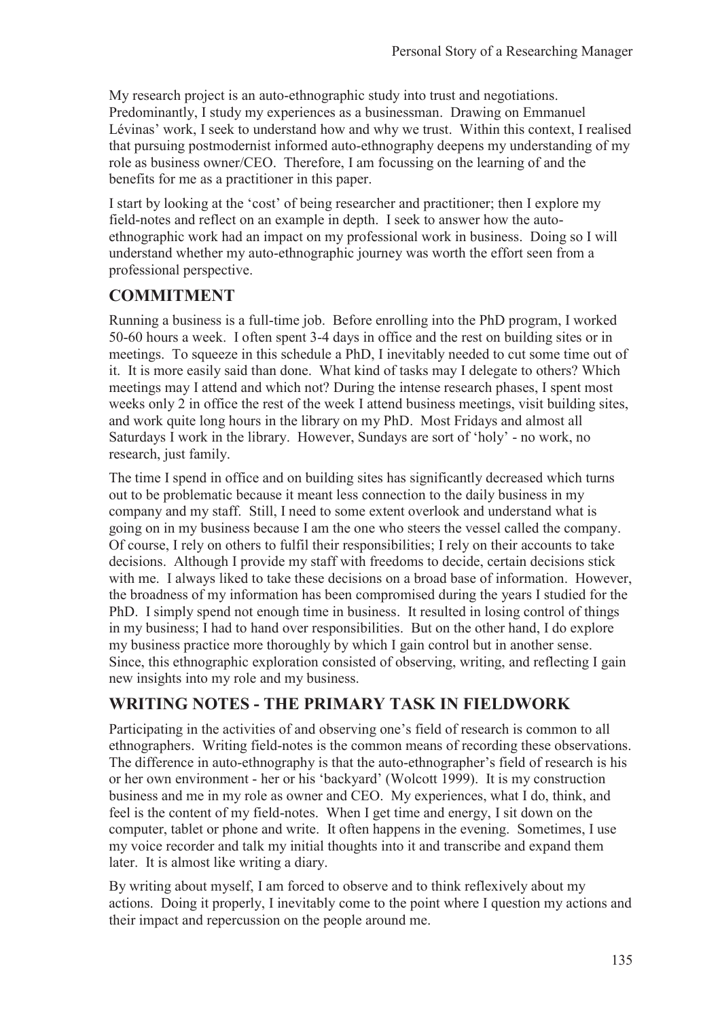My research project is an auto-ethnographic study into trust and negotiations. Predominantly, I study my experiences as a businessman. Drawing on Emmanuel Lévinas' work, I seek to understand how and why we trust. Within this context, I realised that pursuing postmodernist informed auto-ethnography deepens my understanding of my role as business owner/CEO. Therefore, I am focussing on the learning of and the benefits for me as a practitioner in this paper.

I start by looking at the 'cost' of being researcher and practitioner; then I explore my field-notes and reflect on an example in depth. I seek to answer how the autoethnographic work had an impact on my professional work in business. Doing so I will understand whether my auto-ethnographic journey was worth the effort seen from a professional perspective.

# **COMMITMENT**

Running a business is a full-time job. Before enrolling into the PhD program, I worked 50-60 hours a week. I often spent 3-4 days in office and the rest on building sites or in meetings. To squeeze in this schedule a PhD, I inevitably needed to cut some time out of it. It is more easily said than done. What kind of tasks may I delegate to others? Which meetings may I attend and which not? During the intense research phases, I spent most weeks only 2 in office the rest of the week I attend business meetings, visit building sites, and work quite long hours in the library on my PhD. Most Fridays and almost all Saturdays I work in the library. However, Sundays are sort of 'holy' - no work, no research, just family.

The time I spend in office and on building sites has significantly decreased which turns out to be problematic because it meant less connection to the daily business in my company and my staff. Still, I need to some extent overlook and understand what is going on in my business because I am the one who steers the vessel called the company. Of course, I rely on others to fulfil their responsibilities; I rely on their accounts to take decisions. Although I provide my staff with freedoms to decide, certain decisions stick with me. I always liked to take these decisions on a broad base of information. However, the broadness of my information has been compromised during the years I studied for the PhD. I simply spend not enough time in business. It resulted in losing control of things in my business; I had to hand over responsibilities. But on the other hand, I do explore my business practice more thoroughly by which I gain control but in another sense. Since, this ethnographic exploration consisted of observing, writing, and reflecting I gain new insights into my role and my business.

# **WRITING NOTES - THE PRIMARY TASK IN FIELDWORK**

Participating in the activities of and observing one's field of research is common to all ethnographers. Writing field-notes is the common means of recording these observations. The difference in auto-ethnography is that the auto-ethnographer's field of research is his or her own environment - her or his 'backyard' (Wolcott 1999). It is my construction business and me in my role as owner and CEO. My experiences, what I do, think, and feel is the content of my field-notes. When I get time and energy, I sit down on the computer, tablet or phone and write. It often happens in the evening. Sometimes, I use my voice recorder and talk my initial thoughts into it and transcribe and expand them later. It is almost like writing a diary.

By writing about myself, I am forced to observe and to think reflexively about my actions. Doing it properly, I inevitably come to the point where I question my actions and their impact and repercussion on the people around me.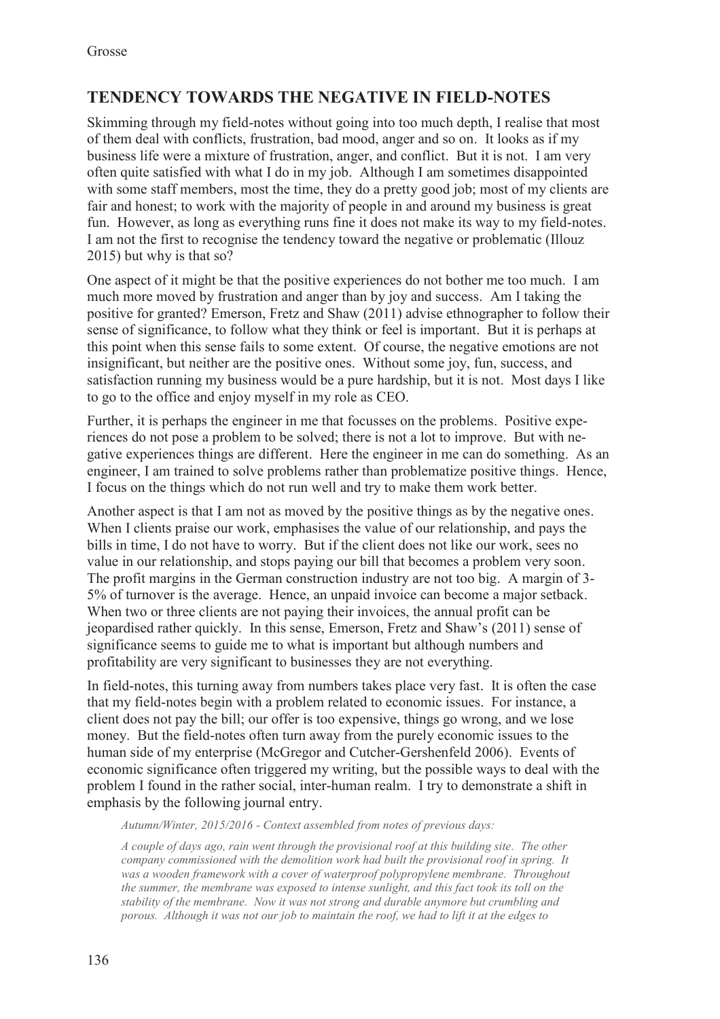# **TENDENCY TOWARDS THE NEGATIVE IN FIELD-NOTES**

Skimming through my field-notes without going into too much depth, I realise that most of them deal with conflicts, frustration, bad mood, anger and so on. It looks as if my business life were a mixture of frustration, anger, and conflict. But it is not. I am very often quite satisfied with what I do in my job. Although I am sometimes disappointed with some staff members, most the time, they do a pretty good job; most of my clients are fair and honest; to work with the majority of people in and around my business is great fun. However, as long as everything runs fine it does not make its way to my field-notes. I am not the first to recognise the tendency toward the negative or problematic (Illouz 2015) but why is that so?

One aspect of it might be that the positive experiences do not bother me too much. I am much more moved by frustration and anger than by joy and success. Am I taking the positive for granted? Emerson, Fretz and Shaw (2011) advise ethnographer to follow their sense of significance, to follow what they think or feel is important. But it is perhaps at this point when this sense fails to some extent. Of course, the negative emotions are not insignificant, but neither are the positive ones. Without some joy, fun, success, and satisfaction running my business would be a pure hardship, but it is not. Most days I like to go to the office and enjoy myself in my role as CEO.

Further, it is perhaps the engineer in me that focusses on the problems. Positive experiences do not pose a problem to be solved; there is not a lot to improve. But with negative experiences things are different. Here the engineer in me can do something. As an engineer, I am trained to solve problems rather than problematize positive things. Hence, I focus on the things which do not run well and try to make them work better.

Another aspect is that I am not as moved by the positive things as by the negative ones. When I clients praise our work, emphasises the value of our relationship, and pays the bills in time, I do not have to worry. But if the client does not like our work, sees no value in our relationship, and stops paying our bill that becomes a problem very soon. The profit margins in the German construction industry are not too big. A margin of 3- 5% of turnover is the average. Hence, an unpaid invoice can become a major setback. When two or three clients are not paying their invoices, the annual profit can be jeopardised rather quickly. In this sense, Emerson, Fretz and Shaw's (2011) sense of significance seems to guide me to what is important but although numbers and profitability are very significant to businesses they are not everything.

In field-notes, this turning away from numbers takes place very fast. It is often the case that my field-notes begin with a problem related to economic issues. For instance, a client does not pay the bill; our offer is too expensive, things go wrong, and we lose money. But the field-notes often turn away from the purely economic issues to the human side of my enterprise (McGregor and Cutcher-Gershenfeld 2006). Events of economic significance often triggered my writing, but the possible ways to deal with the problem I found in the rather social, inter-human realm. I try to demonstrate a shift in emphasis by the following journal entry.

*Autumn/Winter, 2015/2016 - Context assembled from notes of previous days:*

*A couple of days ago, rain went through the provisional roof at this building site. The other company commissioned with the demolition work had built the provisional roof in spring. It was a wooden framework with a cover of waterproof polypropylene membrane. Throughout the summer, the membrane was exposed to intense sunlight, and this fact took its toll on the stability of the membrane. Now it was not strong and durable anymore but crumbling and porous. Although it was not our job to maintain the roof, we had to lift it at the edges to*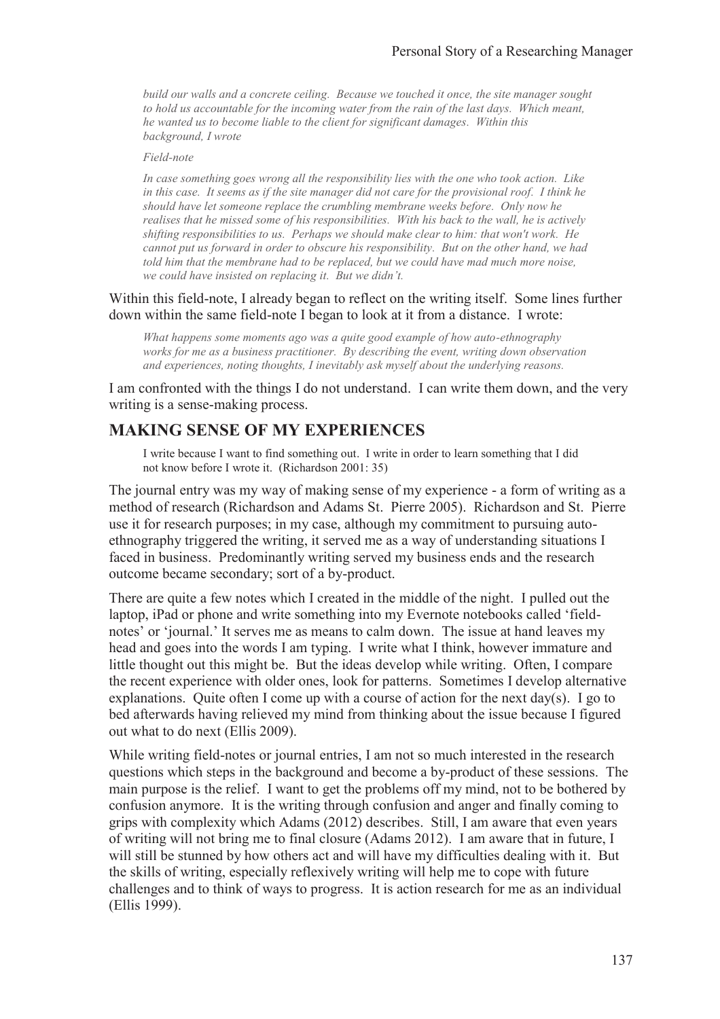*build our walls and a concrete ceiling. Because we touched it once, the site manager sought to hold us accountable for the incoming water from the rain of the last days. Which meant, he wanted us to become liable to the client for significant damages. Within this background, I wrote* 

#### *Field-note*

*In case something goes wrong all the responsibility lies with the one who took action. Like in this case. It seems as if the site manager did not care for the provisional roof. I think he should have let someone replace the crumbling membrane weeks before. Only now he realises that he missed some of his responsibilities. With his back to the wall, he is actively shifting responsibilities to us. Perhaps we should make clear to him: that won't work. He cannot put us forward in order to obscure his responsibility. But on the other hand, we had told him that the membrane had to be replaced, but we could have mad much more noise, we could have insisted on replacing it. But we didn't.*

Within this field-note, I already began to reflect on the writing itself. Some lines further down within the same field-note I began to look at it from a distance. I wrote:

*What happens some moments ago was a quite good example of how auto-ethnography works for me as a business practitioner. By describing the event, writing down observation and experiences, noting thoughts, I inevitably ask myself about the underlying reasons.*

I am confronted with the things I do not understand. I can write them down, and the very writing is a sense-making process.

### **MAKING SENSE OF MY EXPERIENCES**

I write because I want to find something out. I write in order to learn something that I did not know before I wrote it. (Richardson 2001: 35)

The journal entry was my way of making sense of my experience - a form of writing as a method of research (Richardson and Adams St. Pierre 2005). Richardson and St. Pierre use it for research purposes; in my case, although my commitment to pursuing autoethnography triggered the writing, it served me as a way of understanding situations I faced in business. Predominantly writing served my business ends and the research outcome became secondary; sort of a by-product.

There are quite a few notes which I created in the middle of the night. I pulled out the laptop, iPad or phone and write something into my Evernote notebooks called 'fieldnotes' or 'journal.' It serves me as means to calm down. The issue at hand leaves my head and goes into the words I am typing. I write what I think, however immature and little thought out this might be. But the ideas develop while writing. Often, I compare the recent experience with older ones, look for patterns. Sometimes I develop alternative explanations. Quite often I come up with a course of action for the next day(s). I go to bed afterwards having relieved my mind from thinking about the issue because I figured out what to do next (Ellis 2009).

While writing field-notes or journal entries, I am not so much interested in the research questions which steps in the background and become a by-product of these sessions. The main purpose is the relief. I want to get the problems off my mind, not to be bothered by confusion anymore. It is the writing through confusion and anger and finally coming to grips with complexity which Adams (2012) describes. Still, I am aware that even years of writing will not bring me to final closure (Adams 2012). I am aware that in future, I will still be stunned by how others act and will have my difficulties dealing with it. But the skills of writing, especially reflexively writing will help me to cope with future challenges and to think of ways to progress. It is action research for me as an individual (Ellis 1999).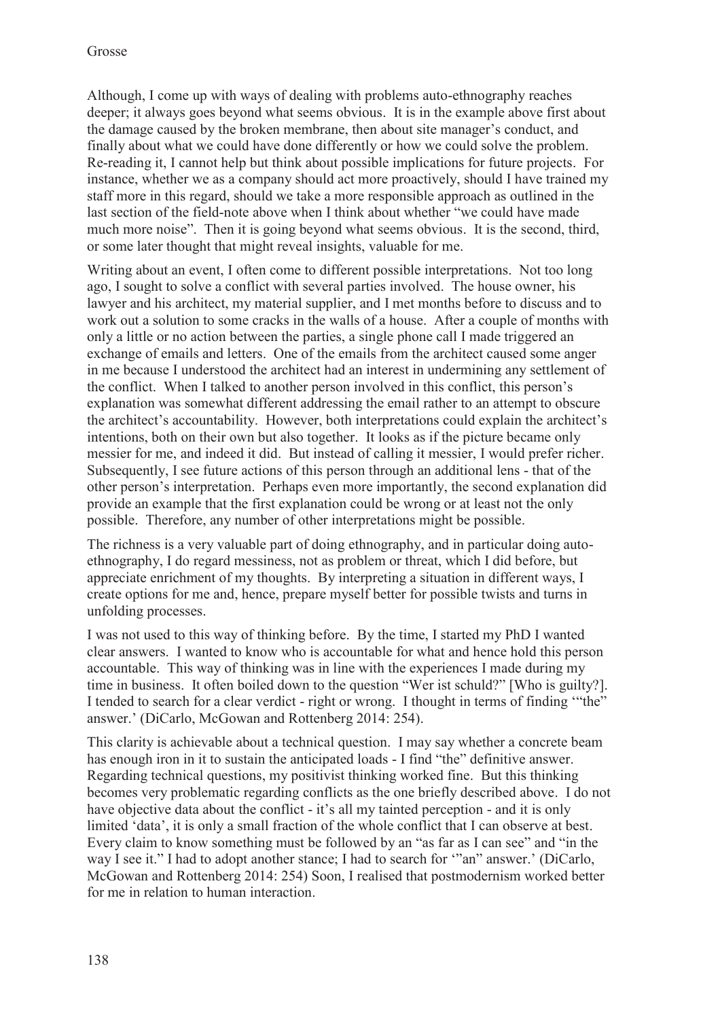Although, I come up with ways of dealing with problems auto-ethnography reaches deeper; it always goes beyond what seems obvious. It is in the example above first about the damage caused by the broken membrane, then about site manager's conduct, and finally about what we could have done differently or how we could solve the problem. Re-reading it, I cannot help but think about possible implications for future projects. For instance, whether we as a company should act more proactively, should I have trained my staff more in this regard, should we take a more responsible approach as outlined in the last section of the field-note above when I think about whether "we could have made much more noise". Then it is going beyond what seems obvious. It is the second, third, or some later thought that might reveal insights, valuable for me.

Writing about an event, I often come to different possible interpretations. Not too long ago, I sought to solve a conflict with several parties involved. The house owner, his lawyer and his architect, my material supplier, and I met months before to discuss and to work out a solution to some cracks in the walls of a house. After a couple of months with only a little or no action between the parties, a single phone call I made triggered an exchange of emails and letters. One of the emails from the architect caused some anger in me because I understood the architect had an interest in undermining any settlement of the conflict. When I talked to another person involved in this conflict, this person's explanation was somewhat different addressing the email rather to an attempt to obscure the architect's accountability. However, both interpretations could explain the architect's intentions, both on their own but also together. It looks as if the picture became only messier for me, and indeed it did. But instead of calling it messier, I would prefer richer. Subsequently, I see future actions of this person through an additional lens - that of the other person's interpretation. Perhaps even more importantly, the second explanation did provide an example that the first explanation could be wrong or at least not the only possible. Therefore, any number of other interpretations might be possible.

The richness is a very valuable part of doing ethnography, and in particular doing autoethnography, I do regard messiness, not as problem or threat, which I did before, but appreciate enrichment of my thoughts. By interpreting a situation in different ways, I create options for me and, hence, prepare myself better for possible twists and turns in unfolding processes.

I was not used to this way of thinking before. By the time, I started my PhD I wanted clear answers. I wanted to know who is accountable for what and hence hold this person accountable. This way of thinking was in line with the experiences I made during my time in business. It often boiled down to the question "Wer ist schuld?" [Who is guilty?]. I tended to search for a clear verdict - right or wrong. I thought in terms of finding '"the" answer.' (DiCarlo, McGowan and Rottenberg 2014: 254).

This clarity is achievable about a technical question. I may say whether a concrete beam has enough iron in it to sustain the anticipated loads - I find "the" definitive answer. Regarding technical questions, my positivist thinking worked fine. But this thinking becomes very problematic regarding conflicts as the one briefly described above. I do not have objective data about the conflict - it's all my tainted perception - and it is only limited 'data', it is only a small fraction of the whole conflict that I can observe at best. Every claim to know something must be followed by an "as far as I can see" and "in the way I see it." I had to adopt another stance; I had to search for '"an" answer.' (DiCarlo, McGowan and Rottenberg 2014: 254) Soon, I realised that postmodernism worked better for me in relation to human interaction.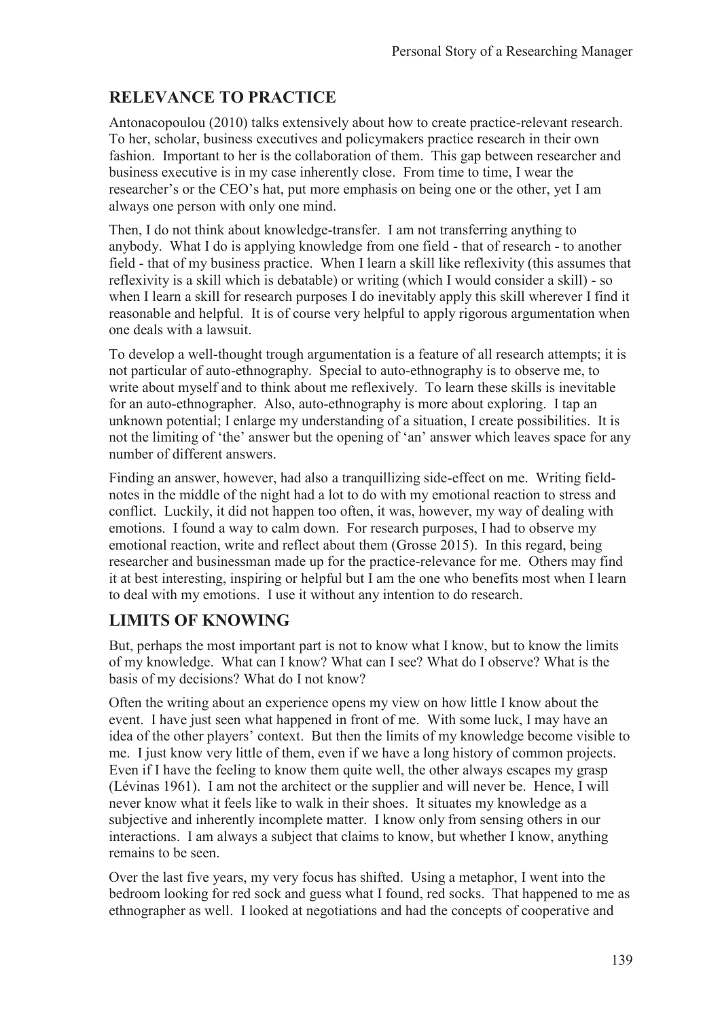# **RELEVANCE TO PRACTICE**

Antonacopoulou (2010) talks extensively about how to create practice-relevant research. To her, scholar, business executives and policymakers practice research in their own fashion. Important to her is the collaboration of them. This gap between researcher and business executive is in my case inherently close. From time to time, I wear the researcher's or the CEO's hat, put more emphasis on being one or the other, yet I am always one person with only one mind.

Then, I do not think about knowledge-transfer. I am not transferring anything to anybody. What I do is applying knowledge from one field - that of research - to another field - that of my business practice. When I learn a skill like reflexivity (this assumes that reflexivity is a skill which is debatable) or writing (which I would consider a skill) - so when I learn a skill for research purposes I do inevitably apply this skill wherever I find it reasonable and helpful. It is of course very helpful to apply rigorous argumentation when one deals with a lawsuit.

To develop a well-thought trough argumentation is a feature of all research attempts; it is not particular of auto-ethnography. Special to auto-ethnography is to observe me, to write about myself and to think about me reflexively. To learn these skills is inevitable for an auto-ethnographer. Also, auto-ethnography is more about exploring. I tap an unknown potential; I enlarge my understanding of a situation, I create possibilities. It is not the limiting of 'the' answer but the opening of 'an' answer which leaves space for any number of different answers.

Finding an answer, however, had also a tranquillizing side-effect on me. Writing fieldnotes in the middle of the night had a lot to do with my emotional reaction to stress and conflict. Luckily, it did not happen too often, it was, however, my way of dealing with emotions. I found a way to calm down. For research purposes, I had to observe my emotional reaction, write and reflect about them (Grosse 2015). In this regard, being researcher and businessman made up for the practice-relevance for me. Others may find it at best interesting, inspiring or helpful but I am the one who benefits most when I learn to deal with my emotions. I use it without any intention to do research.

## **LIMITS OF KNOWING**

But, perhaps the most important part is not to know what I know, but to know the limits of my knowledge. What can I know? What can I see? What do I observe? What is the basis of my decisions? What do I not know?

Often the writing about an experience opens my view on how little I know about the event. I have just seen what happened in front of me. With some luck, I may have an idea of the other players' context. But then the limits of my knowledge become visible to me. I just know very little of them, even if we have a long history of common projects. Even if I have the feeling to know them quite well, the other always escapes my grasp (Lévinas 1961). I am not the architect or the supplier and will never be. Hence, I will never know what it feels like to walk in their shoes. It situates my knowledge as a subjective and inherently incomplete matter. I know only from sensing others in our interactions. I am always a subject that claims to know, but whether I know, anything remains to be seen.

Over the last five years, my very focus has shifted. Using a metaphor, I went into the bedroom looking for red sock and guess what I found, red socks. That happened to me as ethnographer as well. I looked at negotiations and had the concepts of cooperative and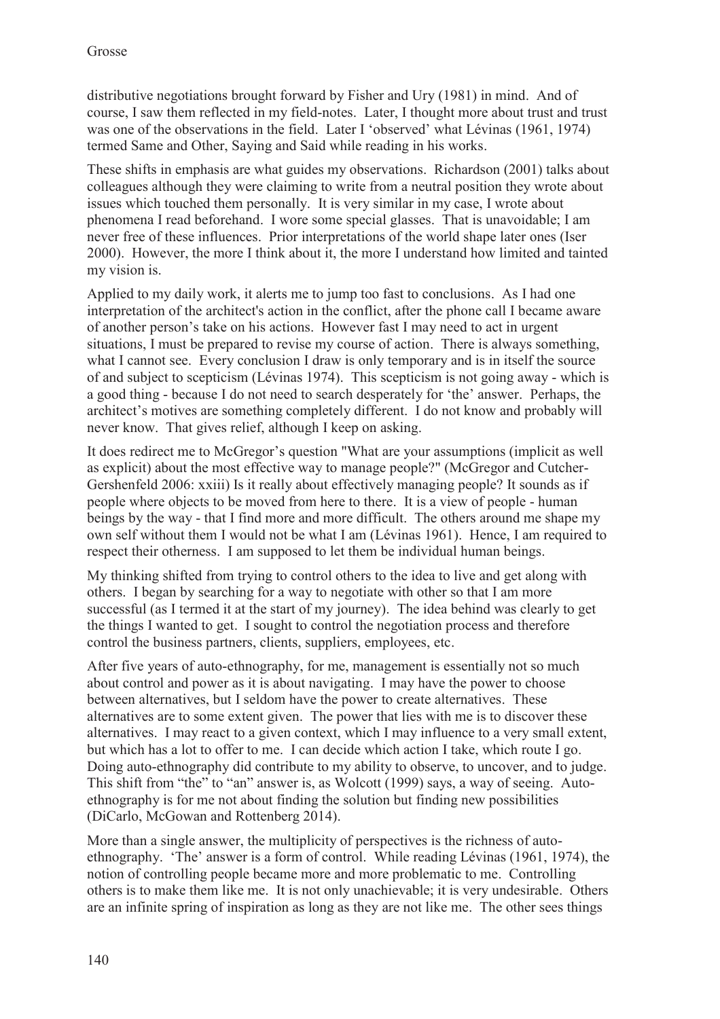distributive negotiations brought forward by Fisher and Ury (1981) in mind. And of course, I saw them reflected in my field-notes. Later, I thought more about trust and trust was one of the observations in the field. Later I 'observed' what Lévinas (1961, 1974) termed Same and Other, Saying and Said while reading in his works.

These shifts in emphasis are what guides my observations. Richardson (2001) talks about colleagues although they were claiming to write from a neutral position they wrote about issues which touched them personally. It is very similar in my case, I wrote about phenomena I read beforehand. I wore some special glasses. That is unavoidable; I am never free of these influences. Prior interpretations of the world shape later ones (Iser 2000). However, the more I think about it, the more I understand how limited and tainted my vision is.

Applied to my daily work, it alerts me to jump too fast to conclusions. As I had one interpretation of the architect's action in the conflict, after the phone call I became aware of another person's take on his actions. However fast I may need to act in urgent situations, I must be prepared to revise my course of action. There is always something, what I cannot see. Every conclusion I draw is only temporary and is in itself the source of and subject to scepticism (Lévinas 1974). This scepticism is not going away - which is a good thing - because I do not need to search desperately for 'the' answer. Perhaps, the architect's motives are something completely different. I do not know and probably will never know. That gives relief, although I keep on asking.

It does redirect me to McGregor's question "What are your assumptions (implicit as well as explicit) about the most effective way to manage people?" (McGregor and Cutcher-Gershenfeld 2006: xxiii) Is it really about effectively managing people? It sounds as if people where objects to be moved from here to there. It is a view of people - human beings by the way - that I find more and more difficult. The others around me shape my own self without them I would not be what I am (Lévinas 1961). Hence, I am required to respect their otherness. I am supposed to let them be individual human beings.

My thinking shifted from trying to control others to the idea to live and get along with others. I began by searching for a way to negotiate with other so that I am more successful (as I termed it at the start of my journey). The idea behind was clearly to get the things I wanted to get. I sought to control the negotiation process and therefore control the business partners, clients, suppliers, employees, etc.

After five years of auto-ethnography, for me, management is essentially not so much about control and power as it is about navigating. I may have the power to choose between alternatives, but I seldom have the power to create alternatives. These alternatives are to some extent given. The power that lies with me is to discover these alternatives. I may react to a given context, which I may influence to a very small extent, but which has a lot to offer to me. I can decide which action I take, which route I go. Doing auto-ethnography did contribute to my ability to observe, to uncover, and to judge. This shift from "the" to "an" answer is, as Wolcott (1999) says, a way of seeing. Autoethnography is for me not about finding the solution but finding new possibilities (DiCarlo, McGowan and Rottenberg 2014).

More than a single answer, the multiplicity of perspectives is the richness of autoethnography. 'The' answer is a form of control. While reading Lévinas (1961, 1974), the notion of controlling people became more and more problematic to me. Controlling others is to make them like me. It is not only unachievable; it is very undesirable. Others are an infinite spring of inspiration as long as they are not like me. The other sees things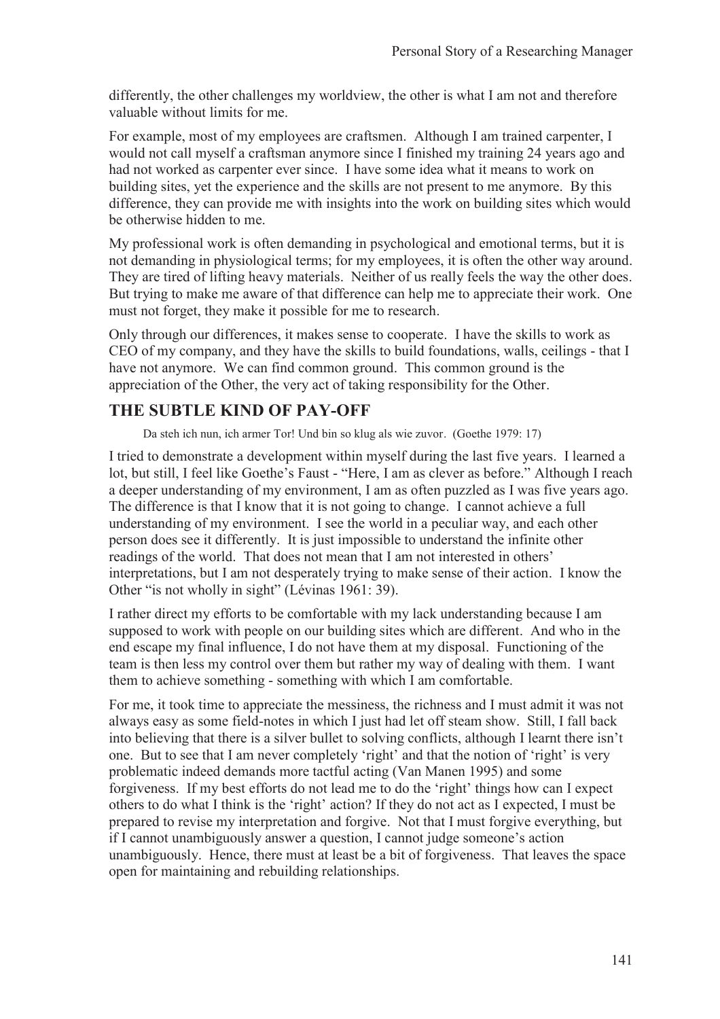differently, the other challenges my worldview, the other is what I am not and therefore valuable without limits for me.

For example, most of my employees are craftsmen. Although I am trained carpenter, I would not call myself a craftsman anymore since I finished my training 24 years ago and had not worked as carpenter ever since. I have some idea what it means to work on building sites, yet the experience and the skills are not present to me anymore. By this difference, they can provide me with insights into the work on building sites which would be otherwise hidden to me.

My professional work is often demanding in psychological and emotional terms, but it is not demanding in physiological terms; for my employees, it is often the other way around. They are tired of lifting heavy materials. Neither of us really feels the way the other does. But trying to make me aware of that difference can help me to appreciate their work. One must not forget, they make it possible for me to research.

Only through our differences, it makes sense to cooperate. I have the skills to work as CEO of my company, and they have the skills to build foundations, walls, ceilings - that I have not anymore. We can find common ground. This common ground is the appreciation of the Other, the very act of taking responsibility for the Other.

### **THE SUBTLE KIND OF PAY-OFF**

Da steh ich nun, ich armer Tor! Und bin so klug als wie zuvor. (Goethe 1979: 17)

I tried to demonstrate a development within myself during the last five years. I learned a lot, but still, I feel like Goethe's Faust - "Here, I am as clever as before." Although I reach a deeper understanding of my environment, I am as often puzzled as I was five years ago. The difference is that I know that it is not going to change. I cannot achieve a full understanding of my environment. I see the world in a peculiar way, and each other person does see it differently. It is just impossible to understand the infinite other readings of the world. That does not mean that I am not interested in others' interpretations, but I am not desperately trying to make sense of their action. I know the Other "is not wholly in sight" (Lévinas 1961: 39).

I rather direct my efforts to be comfortable with my lack understanding because I am supposed to work with people on our building sites which are different. And who in the end escape my final influence, I do not have them at my disposal. Functioning of the team is then less my control over them but rather my way of dealing with them. I want them to achieve something - something with which I am comfortable.

For me, it took time to appreciate the messiness, the richness and I must admit it was not always easy as some field-notes in which I just had let off steam show. Still, I fall back into believing that there is a silver bullet to solving conflicts, although I learnt there isn't one. But to see that I am never completely 'right' and that the notion of 'right' is very problematic indeed demands more tactful acting (Van Manen 1995) and some forgiveness. If my best efforts do not lead me to do the 'right' things how can I expect others to do what I think is the 'right' action? If they do not act as I expected, I must be prepared to revise my interpretation and forgive. Not that I must forgive everything, but if I cannot unambiguously answer a question, I cannot judge someone's action unambiguously. Hence, there must at least be a bit of forgiveness. That leaves the space open for maintaining and rebuilding relationships.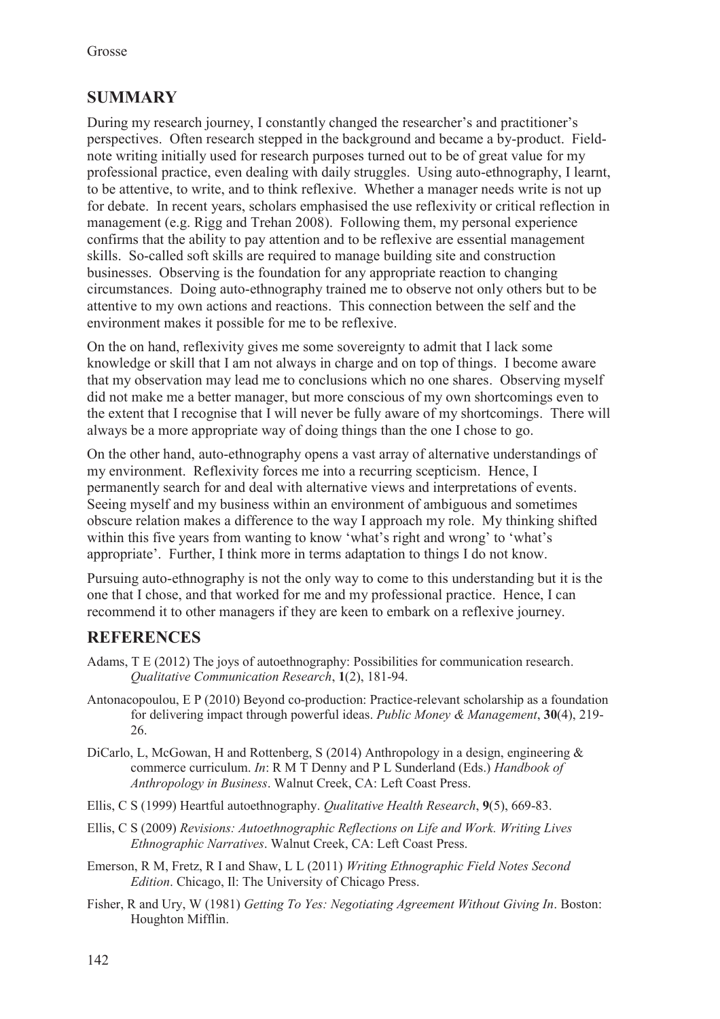## **SUMMARY**

During my research journey, I constantly changed the researcher's and practitioner's perspectives. Often research stepped in the background and became a by-product. Fieldnote writing initially used for research purposes turned out to be of great value for my professional practice, even dealing with daily struggles. Using auto-ethnography, I learnt, to be attentive, to write, and to think reflexive. Whether a manager needs write is not up for debate. In recent years, scholars emphasised the use reflexivity or critical reflection in management (e.g. Rigg and Trehan 2008). Following them, my personal experience confirms that the ability to pay attention and to be reflexive are essential management skills. So-called soft skills are required to manage building site and construction businesses. Observing is the foundation for any appropriate reaction to changing circumstances. Doing auto-ethnography trained me to observe not only others but to be attentive to my own actions and reactions. This connection between the self and the environment makes it possible for me to be reflexive.

On the on hand, reflexivity gives me some sovereignty to admit that I lack some knowledge or skill that I am not always in charge and on top of things. I become aware that my observation may lead me to conclusions which no one shares. Observing myself did not make me a better manager, but more conscious of my own shortcomings even to the extent that I recognise that I will never be fully aware of my shortcomings. There will always be a more appropriate way of doing things than the one I chose to go.

On the other hand, auto-ethnography opens a vast array of alternative understandings of my environment. Reflexivity forces me into a recurring scepticism. Hence, I permanently search for and deal with alternative views and interpretations of events. Seeing myself and my business within an environment of ambiguous and sometimes obscure relation makes a difference to the way I approach my role. My thinking shifted within this five years from wanting to know 'what's right and wrong' to 'what's appropriate'. Further, I think more in terms adaptation to things I do not know.

Pursuing auto-ethnography is not the only way to come to this understanding but it is the one that I chose, and that worked for me and my professional practice. Hence, I can recommend it to other managers if they are keen to embark on a reflexive journey.

## **REFERENCES**

- Adams, T E (2012) The joys of autoethnography: Possibilities for communication research. *Qualitative Communication Research*, **1**(2), 181-94.
- Antonacopoulou, E P (2010) Beyond co-production: Practice-relevant scholarship as a foundation for delivering impact through powerful ideas. *Public Money & Management*, **30**(4), 219- 26.
- DiCarlo, L, McGowan, H and Rottenberg, S (2014) Anthropology in a design, engineering  $\&$ commerce curriculum. *In*: R M T Denny and P L Sunderland (Eds.) *Handbook of Anthropology in Business*. Walnut Creek, CA: Left Coast Press.
- Ellis, C S (1999) Heartful autoethnography. *Qualitative Health Research*, **9**(5), 669-83.
- Ellis, C S (2009) *Revisions: Autoethnographic Reflections on Life and Work. Writing Lives Ethnographic Narratives*. Walnut Creek, CA: Left Coast Press.
- Emerson, R M, Fretz, R I and Shaw, L L (2011) *Writing Ethnographic Field Notes Second Edition*. Chicago, Il: The University of Chicago Press.
- Fisher, R and Ury, W (1981) *Getting To Yes: Negotiating Agreement Without Giving In*. Boston: Houghton Mifflin.